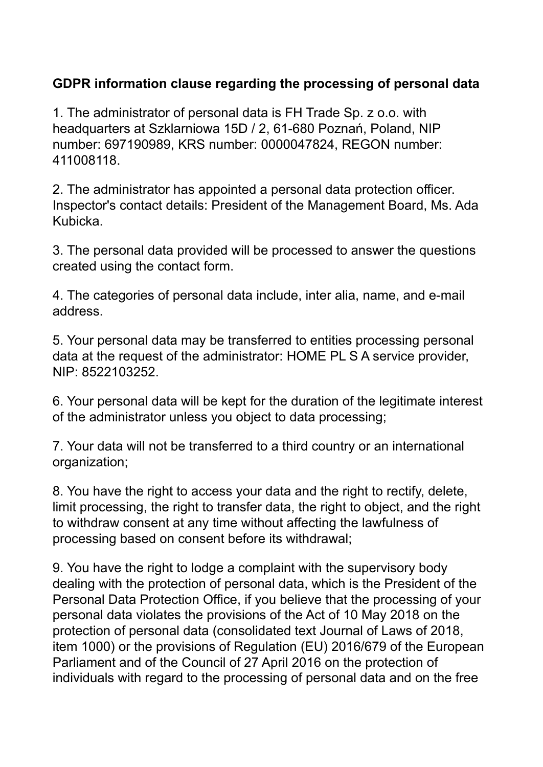## **GDPR information clause regarding the processing of personal data**

1. The administrator of personal data is FH Trade Sp. z o.o. with headquarters at Szklarniowa 15D / 2, 61-680 Poznań, Poland, NIP number: 697190989, KRS number: 0000047824, REGON number: 411008118.

2. The administrator has appointed a personal data protection officer. Inspector's contact details: President of the Management Board, Ms. Ada Kubicka.

3. The personal data provided will be processed to answer the questions created using the contact form.

4. The categories of personal data include, inter alia, name, and e-mail address.

5. Your personal data may be transferred to entities processing personal data at the request of the administrator: HOME PL S A service provider, NIP: 8522103252.

6. Your personal data will be kept for the duration of the legitimate interest of the administrator unless you object to data processing;

7. Your data will not be transferred to a third country or an international organization;

8. You have the right to access your data and the right to rectify, delete, limit processing, the right to transfer data, the right to object, and the right to withdraw consent at any time without affecting the lawfulness of processing based on consent before its withdrawal;

9. You have the right to lodge a complaint with the supervisory body dealing with the protection of personal data, which is the President of the Personal Data Protection Office, if you believe that the processing of your personal data violates the provisions of the Act of 10 May 2018 on the protection of personal data (consolidated text Journal of Laws of 2018, item 1000) or the provisions of Regulation (EU) 2016/679 of the European Parliament and of the Council of 27 April 2016 on the protection of individuals with regard to the processing of personal data and on the free